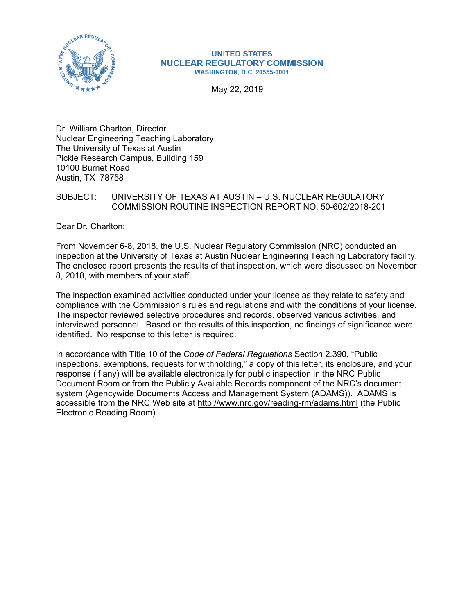

#### **UNITED STATES NUCLEAR REGULATORY COMMISSION WASHINGTON, D.C. 20555-0001**

May 22, 2019

Dr. William Charlton, Director Nuclear Engineering Teaching Laboratory The University of Texas at Austin Pickle Research Campus, Building 159 10100 Burnet Road Austin, TX 78758

### SUBJECT: UNIVERSITY OF TEXAS AT AUSTIN – U.S. NUCLEAR REGULATORY COMMISSION ROUTINE INSPECTION REPORT NO. 50-602/2018-201

Dear Dr. Charlton:

From November 6-8, 2018, the U.S. Nuclear Regulatory Commission (NRC) conducted an inspection at the University of Texas at Austin Nuclear Engineering Teaching Laboratory facility. The enclosed report presents the results of that inspection, which were discussed on November 8, 2018, with members of your staff.

The inspection examined activities conducted under your license as they relate to safety and compliance with the Commission's rules and regulations and with the conditions of your license. The inspector reviewed selective procedures and records, observed various activities, and interviewed personnel. Based on the results of this inspection, no findings of significance were identified. No response to this letter is required.

In accordance with Title 10 of the *Code of Federal Regulations* Section 2.390, "Public inspections, exemptions, requests for withholding," a copy of this letter, its enclosure, and your response (if any) will be available electronically for public inspection in the NRC Public Document Room or from the Publicly Available Records component of the NRC's document system (Agencywide Documents Access and Management System (ADAMS)). ADAMS is accessible from the NRC Web site at http://www.nrc.gov/reading-rm/adams.html (the Public Electronic Reading Room).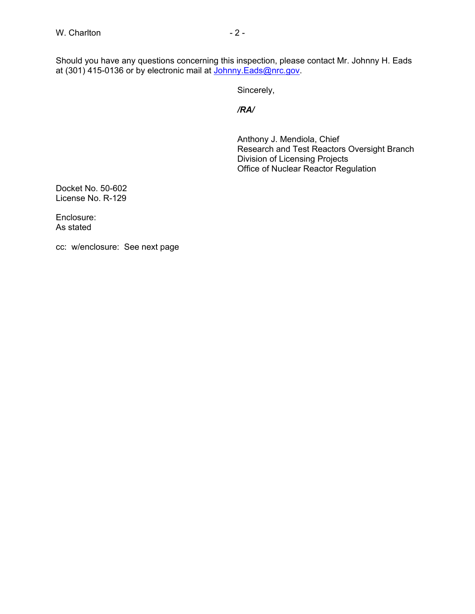Should you have any questions concerning this inspection, please contact Mr. Johnny H. Eads at (301) 415-0136 or by electronic mail at <u>Johnny.Eads@nrc.gov</u>.

Sincerely,

*/RA/* 

Anthony J. Mendiola, Chief Research and Test Reactors Oversight Branch Division of Licensing Projects Office of Nuclear Reactor Regulation

Docket No. 50-602 License No. R-129

Enclosure: As stated

cc: w/enclosure: See next page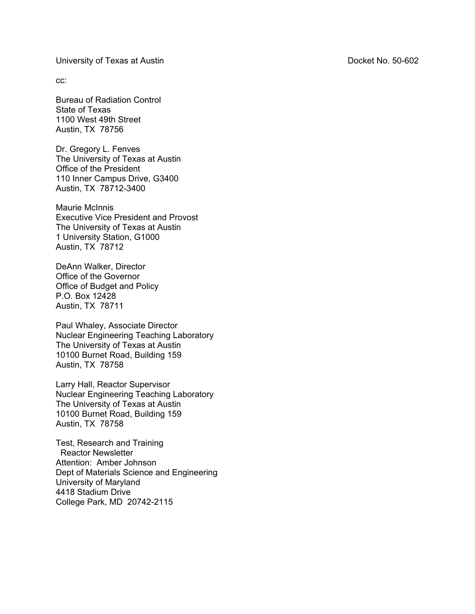University of Texas at Austin Docket No. 50-602

cc:

Bureau of Radiation Control State of Texas 1100 West 49th Street Austin, TX 78756

Dr. Gregory L. Fenves The University of Texas at Austin Office of the President 110 Inner Campus Drive, G3400 Austin, TX 78712-3400

Maurie McInnis Executive Vice President and Provost The University of Texas at Austin 1 University Station, G1000 Austin, TX 78712

DeAnn Walker, Director Office of the Governor Office of Budget and Policy P.O. Box 12428 Austin, TX 78711

Paul Whaley, Associate Director Nuclear Engineering Teaching Laboratory The University of Texas at Austin 10100 Burnet Road, Building 159 Austin, TX 78758

Larry Hall, Reactor Supervisor Nuclear Engineering Teaching Laboratory The University of Texas at Austin 10100 Burnet Road, Building 159 Austin, TX 78758

Test, Research and Training Reactor Newsletter Attention: Amber Johnson Dept of Materials Science and Engineering University of Maryland 4418 Stadium Drive College Park, MD 20742-2115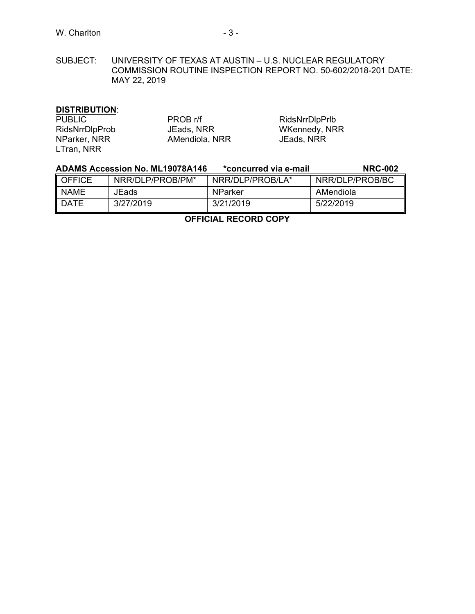SUBJECT: UNIVERSITY OF TEXAS AT AUSTIN – U.S. NUCLEAR REGULATORY COMMISSION ROUTINE INSPECTION REPORT NO. 50-602/2018-201 DATE: MAY 22, 2019

# **DISTRIBUTION**:

| <b>PUBLIC</b>         | PROB r/f       | RidsNrrDlpPrlb |
|-----------------------|----------------|----------------|
| <b>RidsNrrDlpProb</b> | JEads, NRR     | WKennedy, NRR  |
| NParker, NRR          | AMendiola, NRR | JEads, NRR     |
| LTran, NRR            |                |                |

|             | <b>ADAMS Accession No. ML19078A146</b> | *concurred via e-mail | <b>NRC-002</b>  |
|-------------|----------------------------------------|-----------------------|-----------------|
| I OFFICE    | NRR/DLP/PROB/PM*                       | NRR/DLP/PROB/LA*      | NRR/DLP/PROB/BC |
| <b>NAME</b> | JEads                                  | <b>NParker</b>        | AMendiola       |
| <b>DATE</b> | 3/27/2019                              | 3/21/2019             | 5/22/2019       |

**OFFICIAL RECORD COPY**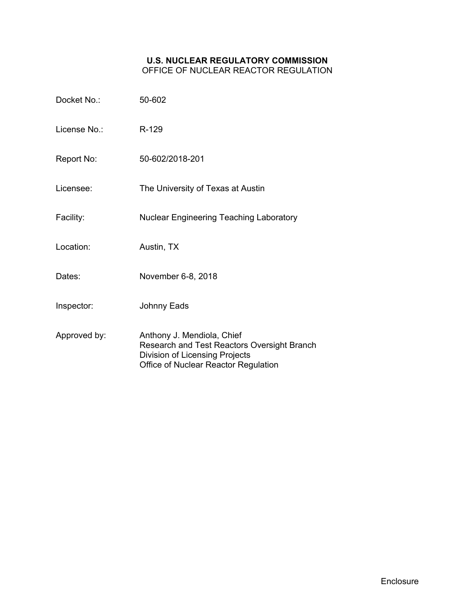### **U.S. NUCLEAR REGULATORY COMMISSION** OFFICE OF NUCLEAR REACTOR REGULATION

| Docket No.:  | 50-602                                                                                                                                              |
|--------------|-----------------------------------------------------------------------------------------------------------------------------------------------------|
| License No∴  | R-129                                                                                                                                               |
| Report No:   | 50-602/2018-201                                                                                                                                     |
| Licensee:    | The University of Texas at Austin                                                                                                                   |
| Facility:    | <b>Nuclear Engineering Teaching Laboratory</b>                                                                                                      |
| Location:    | Austin, TX                                                                                                                                          |
| Dates:       | November 6-8, 2018                                                                                                                                  |
| Inspector:   | <b>Johnny Eads</b>                                                                                                                                  |
| Approved by: | Anthony J. Mendiola, Chief<br>Research and Test Reactors Oversight Branch<br>Division of Licensing Projects<br>Office of Nuclear Reactor Regulation |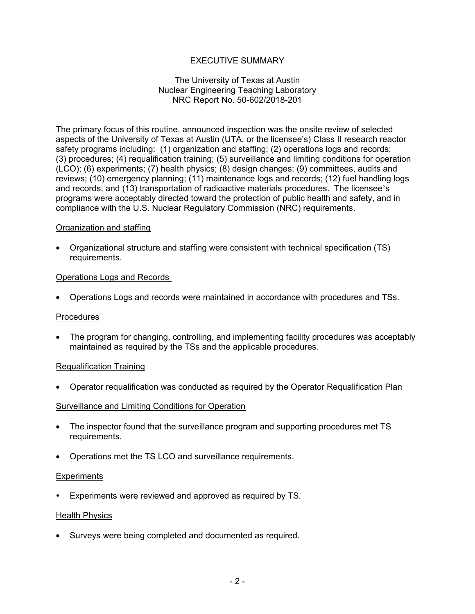# EXECUTIVE SUMMARY

### The University of Texas at Austin Nuclear Engineering Teaching Laboratory NRC Report No. 50-602/2018-201

The primary focus of this routine, announced inspection was the onsite review of selected aspects of the University of Texas at Austin (UTA, or the licensee's) Class II research reactor safety programs including: (1) organization and staffing; (2) operations logs and records; (3) procedures; (4) requalification training; (5) surveillance and limiting conditions for operation (LCO); (6) experiments; (7) health physics; (8) design changes; (9) committees, audits and reviews; (10) emergency planning; (11) maintenance logs and records; (12) fuel handling logs and records; and (13) transportation of radioactive materials procedures. The licensee's programs were acceptably directed toward the protection of public health and safety, and in compliance with the U.S. Nuclear Regulatory Commission (NRC) requirements.

### Organization and staffing

• Organizational structure and staffing were consistent with technical specification (TS) requirements.

### Operations Logs and Records

• Operations Logs and records were maintained in accordance with procedures and TSs.

#### Procedures

• The program for changing, controlling, and implementing facility procedures was acceptably maintained as required by the TSs and the applicable procedures.

#### Requalification Training

• Operator requalification was conducted as required by the Operator Requalification Plan

#### Surveillance and Limiting Conditions for Operation

- The inspector found that the surveillance program and supporting procedures met TS requirements.
- Operations met the TS LCO and surveillance requirements.

#### **Experiments**

Experiments were reviewed and approved as required by TS.

#### Health Physics

• Surveys were being completed and documented as required.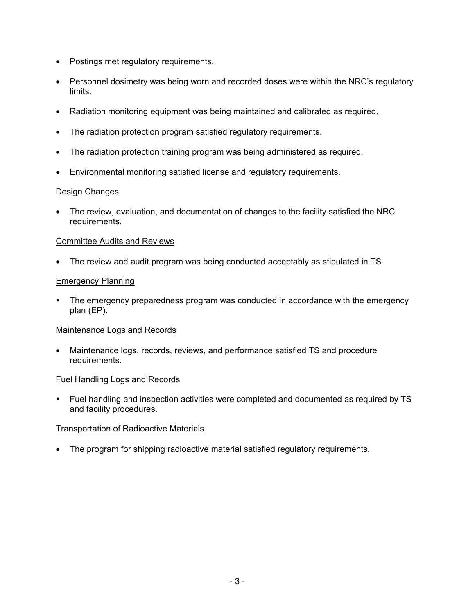- Postings met regulatory requirements.
- Personnel dosimetry was being worn and recorded doses were within the NRC's regulatory limits.
- Radiation monitoring equipment was being maintained and calibrated as required.
- The radiation protection program satisfied regulatory requirements.
- The radiation protection training program was being administered as required.
- Environmental monitoring satisfied license and regulatory requirements.

### Design Changes

• The review, evaluation, and documentation of changes to the facility satisfied the NRC requirements.

### Committee Audits and Reviews

• The review and audit program was being conducted acceptably as stipulated in TS.

## Emergency Planning

 The emergency preparedness program was conducted in accordance with the emergency plan (EP).

#### Maintenance Logs and Records

• Maintenance logs, records, reviews, and performance satisfied TS and procedure requirements.

#### Fuel Handling Logs and Records

 Fuel handling and inspection activities were completed and documented as required by TS and facility procedures.

## Transportation of Radioactive Materials

• The program for shipping radioactive material satisfied regulatory requirements.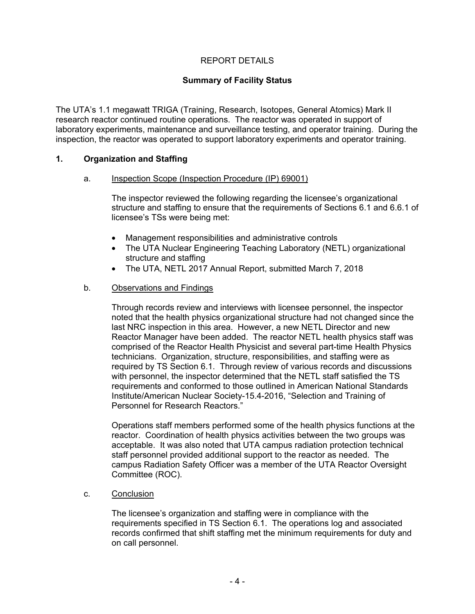# REPORT DETAILS

## **Summary of Facility Status**

The UTA's 1.1 megawatt TRIGA (Training, Research, Isotopes, General Atomics) Mark II research reactor continued routine operations. The reactor was operated in support of laboratory experiments, maintenance and surveillance testing, and operator training. During the inspection, the reactor was operated to support laboratory experiments and operator training.

### **1. Organization and Staffing**

#### a. Inspection Scope (Inspection Procedure (IP) 69001)

The inspector reviewed the following regarding the licensee's organizational structure and staffing to ensure that the requirements of Sections 6.1 and 6.6.1 of licensee's TSs were being met:

- Management responsibilities and administrative controls
- The UTA Nuclear Engineering Teaching Laboratory (NETL) organizational structure and staffing
- The UTA, NETL 2017 Annual Report, submitted March 7, 2018

### b. Observations and Findings

Through records review and interviews with licensee personnel, the inspector noted that the health physics organizational structure had not changed since the last NRC inspection in this area. However, a new NETL Director and new Reactor Manager have been added. The reactor NETL health physics staff was comprised of the Reactor Health Physicist and several part-time Health Physics technicians. Organization, structure, responsibilities, and staffing were as required by TS Section 6.1. Through review of various records and discussions with personnel, the inspector determined that the NETL staff satisfied the TS requirements and conformed to those outlined in American National Standards Institute/American Nuclear Society-15.4-2016, "Selection and Training of Personnel for Research Reactors."

Operations staff members performed some of the health physics functions at the reactor. Coordination of health physics activities between the two groups was acceptable. It was also noted that UTA campus radiation protection technical staff personnel provided additional support to the reactor as needed. The campus Radiation Safety Officer was a member of the UTA Reactor Oversight Committee (ROC).

c. Conclusion

The licensee's organization and staffing were in compliance with the requirements specified in TS Section 6.1. The operations log and associated records confirmed that shift staffing met the minimum requirements for duty and on call personnel.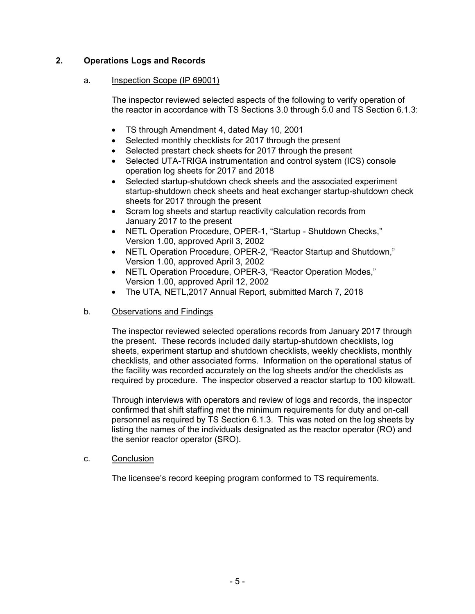# **2. Operations Logs and Records**

### a. Inspection Scope (IP 69001)

The inspector reviewed selected aspects of the following to verify operation of the reactor in accordance with TS Sections 3.0 through 5.0 and TS Section 6.1.3:

- TS through Amendment 4, dated May 10, 2001
- Selected monthly checklists for 2017 through the present
- Selected prestart check sheets for 2017 through the present
- Selected UTA-TRIGA instrumentation and control system (ICS) console operation log sheets for 2017 and 2018
- Selected startup-shutdown check sheets and the associated experiment startup-shutdown check sheets and heat exchanger startup-shutdown check sheets for 2017 through the present
- Scram log sheets and startup reactivity calculation records from January 2017 to the present
- NETL Operation Procedure, OPER-1, "Startup Shutdown Checks," Version 1.00, approved April 3, 2002
- NETL Operation Procedure, OPER-2, "Reactor Startup and Shutdown," Version 1.00, approved April 3, 2002
- NETL Operation Procedure, OPER-3, "Reactor Operation Modes," Version 1.00, approved April 12, 2002
- The UTA, NETL,2017 Annual Report, submitted March 7, 2018

## b. Observations and Findings

The inspector reviewed selected operations records from January 2017 through the present. These records included daily startup-shutdown checklists, log sheets, experiment startup and shutdown checklists, weekly checklists, monthly checklists, and other associated forms. Information on the operational status of the facility was recorded accurately on the log sheets and/or the checklists as required by procedure. The inspector observed a reactor startup to 100 kilowatt.

Through interviews with operators and review of logs and records, the inspector confirmed that shift staffing met the minimum requirements for duty and on-call personnel as required by TS Section 6.1.3. This was noted on the log sheets by listing the names of the individuals designated as the reactor operator (RO) and the senior reactor operator (SRO).

c. Conclusion

The licensee's record keeping program conformed to TS requirements.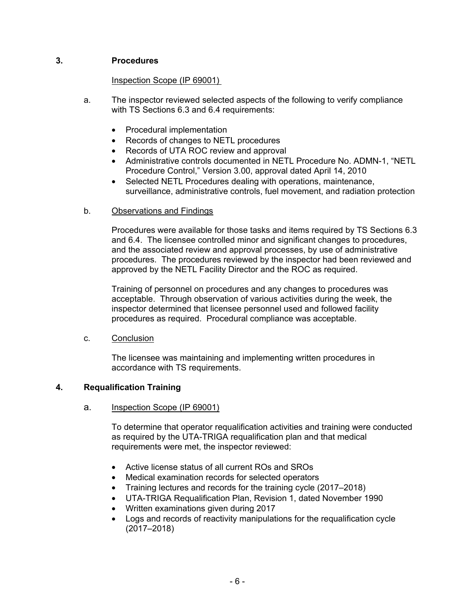# **3. Procedures**

### Inspection Scope (IP 69001)

- a. The inspector reviewed selected aspects of the following to verify compliance with TS Sections 6.3 and 6.4 requirements:
	- Procedural implementation
	- Records of changes to NETL procedures
	- Records of UTA ROC review and approval
	- Administrative controls documented in NETL Procedure No. ADMN-1, "NETL Procedure Control," Version 3.00, approval dated April 14, 2010
	- Selected NETL Procedures dealing with operations, maintenance, surveillance, administrative controls, fuel movement, and radiation protection
- b. Observations and Findings

Procedures were available for those tasks and items required by TS Sections 6.3 and 6.4. The licensee controlled minor and significant changes to procedures, and the associated review and approval processes, by use of administrative procedures. The procedures reviewed by the inspector had been reviewed and approved by the NETL Facility Director and the ROC as required.

Training of personnel on procedures and any changes to procedures was acceptable. Through observation of various activities during the week, the inspector determined that licensee personnel used and followed facility procedures as required. Procedural compliance was acceptable.

c. Conclusion

The licensee was maintaining and implementing written procedures in accordance with TS requirements.

## **4. Requalification Training**

a. Inspection Scope (IP 69001)

To determine that operator requalification activities and training were conducted as required by the UTA-TRIGA requalification plan and that medical requirements were met, the inspector reviewed:

- Active license status of all current ROs and SROs
- Medical examination records for selected operators
- Training lectures and records for the training cycle (2017–2018)
- UTA-TRIGA Requalification Plan, Revision 1, dated November 1990
- Written examinations given during 2017
- Logs and records of reactivity manipulations for the requalification cycle (2017–2018)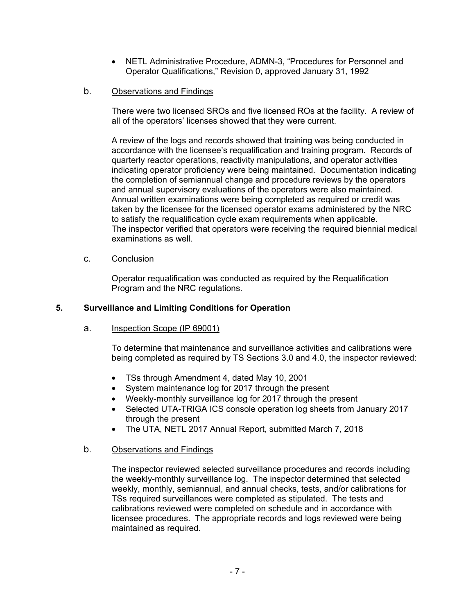• NETL Administrative Procedure, ADMN-3, "Procedures for Personnel and Operator Qualifications," Revision 0, approved January 31, 1992

# b. Observations and Findings

There were two licensed SROs and five licensed ROs at the facility. A review of all of the operators' licenses showed that they were current.

A review of the logs and records showed that training was being conducted in accordance with the licensee's requalification and training program. Records of quarterly reactor operations, reactivity manipulations, and operator activities indicating operator proficiency were being maintained. Documentation indicating the completion of semiannual change and procedure reviews by the operators and annual supervisory evaluations of the operators were also maintained. Annual written examinations were being completed as required or credit was taken by the licensee for the licensed operator exams administered by the NRC to satisfy the requalification cycle exam requirements when applicable. The inspector verified that operators were receiving the required biennial medical examinations as well.

# c. Conclusion

Operator requalification was conducted as required by the Requalification Program and the NRC regulations.

## **5. Surveillance and Limiting Conditions for Operation**

## a. Inspection Scope (IP 69001)

To determine that maintenance and surveillance activities and calibrations were being completed as required by TS Sections 3.0 and 4.0, the inspector reviewed:

- TSs through Amendment 4, dated May 10, 2001
- System maintenance log for 2017 through the present
- Weekly-monthly surveillance log for 2017 through the present
- Selected UTA-TRIGA ICS console operation log sheets from January 2017 through the present
- The UTA, NETL 2017 Annual Report, submitted March 7, 2018

## b. Observations and Findings

The inspector reviewed selected surveillance procedures and records including the weekly-monthly surveillance log. The inspector determined that selected weekly, monthly, semiannual, and annual checks, tests, and/or calibrations for TSs required surveillances were completed as stipulated. The tests and calibrations reviewed were completed on schedule and in accordance with licensee procedures. The appropriate records and logs reviewed were being maintained as required.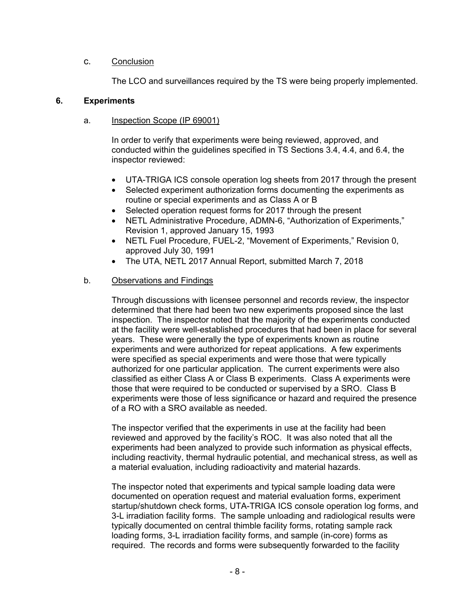## c. Conclusion

The LCO and surveillances required by the TS were being properly implemented.

### **6. Experiments**

### a. Inspection Scope (IP 69001)

In order to verify that experiments were being reviewed, approved, and conducted within the guidelines specified in TS Sections 3.4, 4.4, and 6.4, the inspector reviewed:

- UTA-TRIGA ICS console operation log sheets from 2017 through the present
- Selected experiment authorization forms documenting the experiments as routine or special experiments and as Class A or B
- Selected operation request forms for 2017 through the present
- NETL Administrative Procedure, ADMN-6, "Authorization of Experiments," Revision 1, approved January 15, 1993
- NETL Fuel Procedure, FUEL-2, "Movement of Experiments," Revision 0, approved July 30, 1991
- The UTA, NETL 2017 Annual Report, submitted March 7, 2018

### b. Observations and Findings

Through discussions with licensee personnel and records review, the inspector determined that there had been two new experiments proposed since the last inspection. The inspector noted that the majority of the experiments conducted at the facility were well-established procedures that had been in place for several years. These were generally the type of experiments known as routine experiments and were authorized for repeat applications. A few experiments were specified as special experiments and were those that were typically authorized for one particular application. The current experiments were also classified as either Class A or Class B experiments. Class A experiments were those that were required to be conducted or supervised by a SRO. Class B experiments were those of less significance or hazard and required the presence of a RO with a SRO available as needed.

The inspector verified that the experiments in use at the facility had been reviewed and approved by the facility's ROC. It was also noted that all the experiments had been analyzed to provide such information as physical effects, including reactivity, thermal hydraulic potential, and mechanical stress, as well as a material evaluation, including radioactivity and material hazards.

The inspector noted that experiments and typical sample loading data were documented on operation request and material evaluation forms, experiment startup/shutdown check forms, UTA-TRIGA ICS console operation log forms, and 3-L irradiation facility forms. The sample unloading and radiological results were typically documented on central thimble facility forms, rotating sample rack loading forms, 3-L irradiation facility forms, and sample (in-core) forms as required. The records and forms were subsequently forwarded to the facility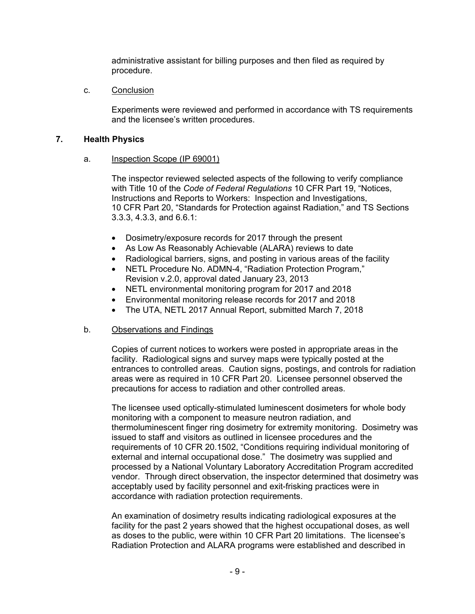administrative assistant for billing purposes and then filed as required by procedure.

### c. Conclusion

Experiments were reviewed and performed in accordance with TS requirements and the licensee's written procedures.

## **7. Health Physics**

### a. Inspection Scope (IP 69001)

The inspector reviewed selected aspects of the following to verify compliance with Title 10 of the *Code of Federal Regulations* 10 CFR Part 19, "Notices, Instructions and Reports to Workers: Inspection and Investigations, 10 CFR Part 20, "Standards for Protection against Radiation," and TS Sections 3.3.3, 4.3.3, and 6.6.1:

- Dosimetry/exposure records for 2017 through the present
- As Low As Reasonably Achievable (ALARA) reviews to date
- Radiological barriers, signs, and posting in various areas of the facility
- NETL Procedure No. ADMN-4, "Radiation Protection Program," Revision v.2.0, approval dated January 23, 2013
- NETL environmental monitoring program for 2017 and 2018
- Environmental monitoring release records for 2017 and 2018
- The UTA, NETL 2017 Annual Report, submitted March 7, 2018

## b. Observations and Findings

Copies of current notices to workers were posted in appropriate areas in the facility. Radiological signs and survey maps were typically posted at the entrances to controlled areas. Caution signs, postings, and controls for radiation areas were as required in 10 CFR Part 20. Licensee personnel observed the precautions for access to radiation and other controlled areas.

The licensee used optically-stimulated luminescent dosimeters for whole body monitoring with a component to measure neutron radiation, and thermoluminescent finger ring dosimetry for extremity monitoring. Dosimetry was issued to staff and visitors as outlined in licensee procedures and the requirements of 10 CFR 20.1502, "Conditions requiring individual monitoring of external and internal occupational dose." The dosimetry was supplied and processed by a National Voluntary Laboratory Accreditation Program accredited vendor. Through direct observation, the inspector determined that dosimetry was acceptably used by facility personnel and exit-frisking practices were in accordance with radiation protection requirements.

An examination of dosimetry results indicating radiological exposures at the facility for the past 2 years showed that the highest occupational doses, as well as doses to the public, were within 10 CFR Part 20 limitations. The licensee's Radiation Protection and ALARA programs were established and described in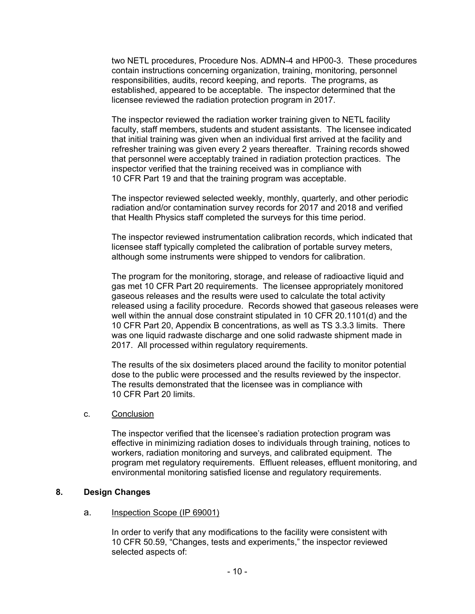two NETL procedures, Procedure Nos. ADMN-4 and HP00-3. These procedures contain instructions concerning organization, training, monitoring, personnel responsibilities, audits, record keeping, and reports. The programs, as established, appeared to be acceptable. The inspector determined that the licensee reviewed the radiation protection program in 2017.

The inspector reviewed the radiation worker training given to NETL facility faculty, staff members, students and student assistants. The licensee indicated that initial training was given when an individual first arrived at the facility and refresher training was given every 2 years thereafter. Training records showed that personnel were acceptably trained in radiation protection practices. The inspector verified that the training received was in compliance with 10 CFR Part 19 and that the training program was acceptable.

The inspector reviewed selected weekly, monthly, quarterly, and other periodic radiation and/or contamination survey records for 2017 and 2018 and verified that Health Physics staff completed the surveys for this time period.

The inspector reviewed instrumentation calibration records, which indicated that licensee staff typically completed the calibration of portable survey meters, although some instruments were shipped to vendors for calibration.

The program for the monitoring, storage, and release of radioactive liquid and gas met 10 CFR Part 20 requirements. The licensee appropriately monitored gaseous releases and the results were used to calculate the total activity released using a facility procedure. Records showed that gaseous releases were well within the annual dose constraint stipulated in 10 CFR 20.1101(d) and the 10 CFR Part 20, Appendix B concentrations, as well as TS 3.3.3 limits. There was one liquid radwaste discharge and one solid radwaste shipment made in 2017. All processed within regulatory requirements.

The results of the six dosimeters placed around the facility to monitor potential dose to the public were processed and the results reviewed by the inspector. The results demonstrated that the licensee was in compliance with 10 CFR Part 20 limits.

#### c. Conclusion

The inspector verified that the licensee's radiation protection program was effective in minimizing radiation doses to individuals through training, notices to workers, radiation monitoring and surveys, and calibrated equipment. The program met regulatory requirements. Effluent releases, effluent monitoring, and environmental monitoring satisfied license and regulatory requirements.

## **8. Design Changes**

#### a. Inspection Scope (IP 69001)

In order to verify that any modifications to the facility were consistent with 10 CFR 50.59, "Changes, tests and experiments," the inspector reviewed selected aspects of: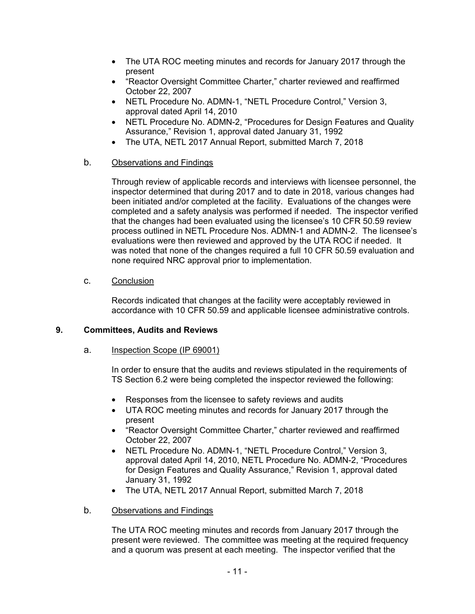- The UTA ROC meeting minutes and records for January 2017 through the present
- "Reactor Oversight Committee Charter," charter reviewed and reaffirmed October 22, 2007
- NETL Procedure No. ADMN-1, "NETL Procedure Control," Version 3, approval dated April 14, 2010
- NETL Procedure No. ADMN-2, "Procedures for Design Features and Quality Assurance," Revision 1, approval dated January 31, 1992
- The UTA, NETL 2017 Annual Report, submitted March 7, 2018

# b. Observations and Findings

Through review of applicable records and interviews with licensee personnel, the inspector determined that during 2017 and to date in 2018, various changes had been initiated and/or completed at the facility. Evaluations of the changes were completed and a safety analysis was performed if needed. The inspector verified that the changes had been evaluated using the licensee's 10 CFR 50.59 review process outlined in NETL Procedure Nos. ADMN-1 and ADMN-2. The licensee's evaluations were then reviewed and approved by the UTA ROC if needed. It was noted that none of the changes required a full 10 CFR 50.59 evaluation and none required NRC approval prior to implementation.

# c. Conclusion

Records indicated that changes at the facility were acceptably reviewed in accordance with 10 CFR 50.59 and applicable licensee administrative controls.

# **9. Committees, Audits and Reviews**

# a. Inspection Scope (IP 69001)

In order to ensure that the audits and reviews stipulated in the requirements of TS Section 6.2 were being completed the inspector reviewed the following:

- Responses from the licensee to safety reviews and audits
- UTA ROC meeting minutes and records for January 2017 through the present
- "Reactor Oversight Committee Charter," charter reviewed and reaffirmed October 22, 2007
- NETL Procedure No. ADMN-1, "NETL Procedure Control," Version 3, approval dated April 14, 2010, NETL Procedure No. ADMN-2, "Procedures for Design Features and Quality Assurance," Revision 1, approval dated January 31, 1992
- The UTA, NETL 2017 Annual Report, submitted March 7, 2018
- b. Observations and Findings

The UTA ROC meeting minutes and records from January 2017 through the present were reviewed. The committee was meeting at the required frequency and a quorum was present at each meeting. The inspector verified that the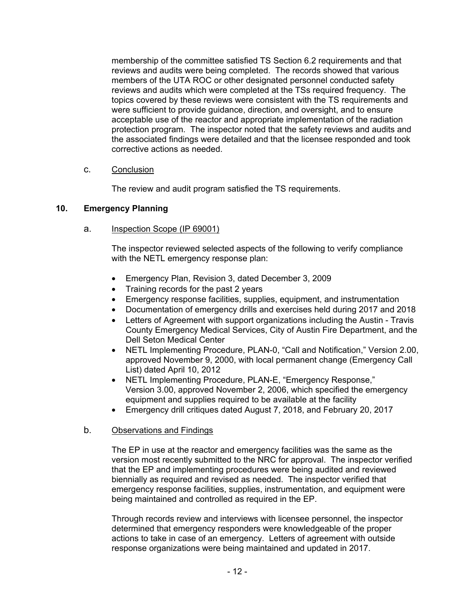membership of the committee satisfied TS Section 6.2 requirements and that reviews and audits were being completed. The records showed that various members of the UTA ROC or other designated personnel conducted safety reviews and audits which were completed at the TSs required frequency. The topics covered by these reviews were consistent with the TS requirements and were sufficient to provide guidance, direction, and oversight, and to ensure acceptable use of the reactor and appropriate implementation of the radiation protection program. The inspector noted that the safety reviews and audits and the associated findings were detailed and that the licensee responded and took corrective actions as needed.

## c. Conclusion

The review and audit program satisfied the TS requirements.

## **10. Emergency Planning**

### a. Inspection Scope (IP 69001)

The inspector reviewed selected aspects of the following to verify compliance with the NETL emergency response plan:

- Emergency Plan, Revision 3, dated December 3, 2009
- Training records for the past 2 years
- Emergency response facilities, supplies, equipment, and instrumentation
- Documentation of emergency drills and exercises held during 2017 and 2018
- Letters of Agreement with support organizations including the Austin Travis County Emergency Medical Services, City of Austin Fire Department, and the Dell Seton Medical Center
- NETL Implementing Procedure, PLAN-0, "Call and Notification," Version 2.00, approved November 9, 2000, with local permanent change (Emergency Call List) dated April 10, 2012
- NETL Implementing Procedure, PLAN-E, "Emergency Response," Version 3.00, approved November 2, 2006, which specified the emergency equipment and supplies required to be available at the facility
- Emergency drill critiques dated August 7, 2018, and February 20, 2017

## b. Observations and Findings

The EP in use at the reactor and emergency facilities was the same as the version most recently submitted to the NRC for approval. The inspector verified that the EP and implementing procedures were being audited and reviewed biennially as required and revised as needed. The inspector verified that emergency response facilities, supplies, instrumentation, and equipment were being maintained and controlled as required in the EP.

Through records review and interviews with licensee personnel, the inspector determined that emergency responders were knowledgeable of the proper actions to take in case of an emergency. Letters of agreement with outside response organizations were being maintained and updated in 2017.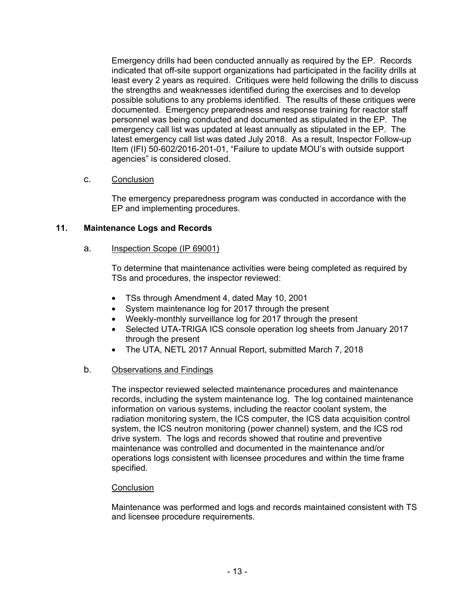Emergency drills had been conducted annually as required by the EP. Records indicated that off-site support organizations had participated in the facility drills at least every 2 years as required. Critiques were held following the drills to discuss the strengths and weaknesses identified during the exercises and to develop possible solutions to any problems identified. The results of these critiques were documented. Emergency preparedness and response training for reactor staff personnel was being conducted and documented as stipulated in the EP. The emergency call list was updated at least annually as stipulated in the EP. The latest emergency call list was dated July 2018. As a result, Inspector Follow-up Item (IFI) 50-602/2016-201-01, "Failure to update MOU's with outside support agencies" is considered closed.

# c. Conclusion

The emergency preparedness program was conducted in accordance with the EP and implementing procedures.

# **11. Maintenance Logs and Records**

## a. Inspection Scope (IP 69001)

To determine that maintenance activities were being completed as required by TSs and procedures, the inspector reviewed:

- TSs through Amendment 4, dated May 10, 2001
- System maintenance log for 2017 through the present
- Weekly-monthly surveillance log for 2017 through the present
- Selected UTA-TRIGA ICS console operation log sheets from January 2017 through the present
- The UTA, NETL 2017 Annual Report, submitted March 7, 2018

## b. Observations and Findings

The inspector reviewed selected maintenance procedures and maintenance records, including the system maintenance log. The log contained maintenance information on various systems, including the reactor coolant system, the radiation monitoring system, the ICS computer, the ICS data acquisition control system, the ICS neutron monitoring (power channel) system, and the ICS rod drive system. The logs and records showed that routine and preventive maintenance was controlled and documented in the maintenance and/or operations logs consistent with licensee procedures and within the time frame specified.

## **Conclusion**

Maintenance was performed and logs and records maintained consistent with TS and licensee procedure requirements.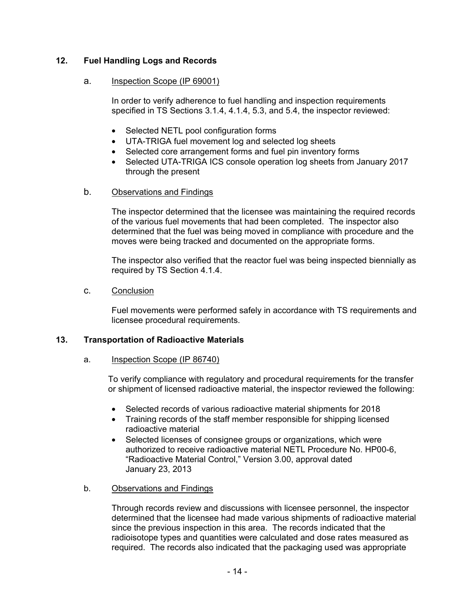# **12. Fuel Handling Logs and Records**

### a. Inspection Scope (IP 69001)

In order to verify adherence to fuel handling and inspection requirements specified in TS Sections 3.1.4, 4.1.4, 5.3, and 5.4, the inspector reviewed:

- Selected NETL pool configuration forms
- UTA-TRIGA fuel movement log and selected log sheets
- Selected core arrangement forms and fuel pin inventory forms
- Selected UTA-TRIGA ICS console operation log sheets from January 2017 through the present

## b. Observations and Findings

The inspector determined that the licensee was maintaining the required records of the various fuel movements that had been completed. The inspector also determined that the fuel was being moved in compliance with procedure and the moves were being tracked and documented on the appropriate forms.

The inspector also verified that the reactor fuel was being inspected biennially as required by TS Section 4.1.4.

#### c. Conclusion

Fuel movements were performed safely in accordance with TS requirements and licensee procedural requirements.

## **13. Transportation of Radioactive Materials**

#### a. Inspection Scope (IP 86740)

To verify compliance with regulatory and procedural requirements for the transfer or shipment of licensed radioactive material, the inspector reviewed the following:

- Selected records of various radioactive material shipments for 2018
- Training records of the staff member responsible for shipping licensed radioactive material
- Selected licenses of consignee groups or organizations, which were authorized to receive radioactive material NETL Procedure No. HP00-6, "Radioactive Material Control," Version 3.00, approval dated January 23, 2013

## b. Observations and Findings

Through records review and discussions with licensee personnel, the inspector determined that the licensee had made various shipments of radioactive material since the previous inspection in this area. The records indicated that the radioisotope types and quantities were calculated and dose rates measured as required. The records also indicated that the packaging used was appropriate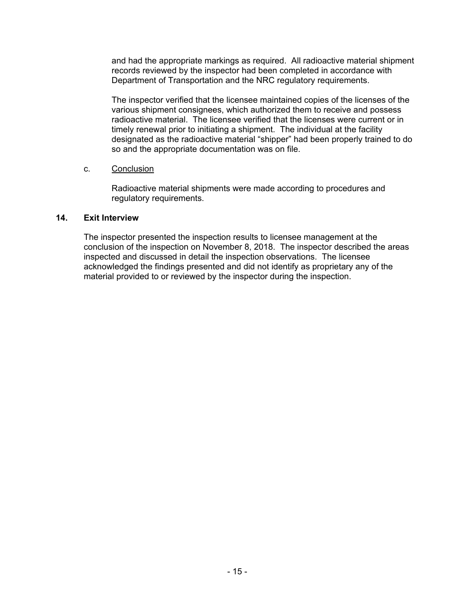and had the appropriate markings as required. All radioactive material shipment records reviewed by the inspector had been completed in accordance with Department of Transportation and the NRC regulatory requirements.

The inspector verified that the licensee maintained copies of the licenses of the various shipment consignees, which authorized them to receive and possess radioactive material. The licensee verified that the licenses were current or in timely renewal prior to initiating a shipment. The individual at the facility designated as the radioactive material "shipper" had been properly trained to do so and the appropriate documentation was on file.

## c. Conclusion

Radioactive material shipments were made according to procedures and regulatory requirements.

### **14. Exit Interview**

The inspector presented the inspection results to licensee management at the conclusion of the inspection on November 8, 2018. The inspector described the areas inspected and discussed in detail the inspection observations. The licensee acknowledged the findings presented and did not identify as proprietary any of the material provided to or reviewed by the inspector during the inspection.